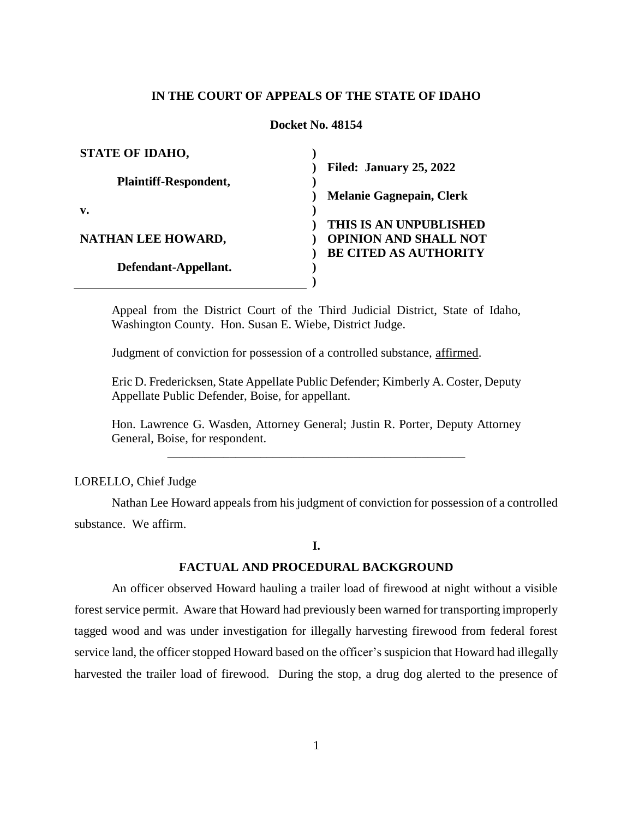## **IN THE COURT OF APPEALS OF THE STATE OF IDAHO**

#### **Docket No. 48154**

| <b>STATE OF IDAHO,</b> |                                 |
|------------------------|---------------------------------|
|                        | Filed: January 25, 2022         |
| Plaintiff-Respondent,  |                                 |
|                        | <b>Melanie Gagnepain, Clerk</b> |
| $\mathbf{v}$ .         |                                 |
|                        | THIS IS AN UNPUBLISHED          |
| NATHAN LEE HOWARD,     | <b>OPINION AND SHALL NOT</b>    |
|                        | <b>BE CITED AS AUTHORITY</b>    |
| Defendant-Appellant.   |                                 |
|                        |                                 |

Appeal from the District Court of the Third Judicial District, State of Idaho, Washington County. Hon. Susan E. Wiebe, District Judge.

Judgment of conviction for possession of a controlled substance, affirmed.

Eric D. Fredericksen, State Appellate Public Defender; Kimberly A. Coster, Deputy Appellate Public Defender, Boise, for appellant.

Hon. Lawrence G. Wasden, Attorney General; Justin R. Porter, Deputy Attorney General, Boise, for respondent. \_\_\_\_\_\_\_\_\_\_\_\_\_\_\_\_\_\_\_\_\_\_\_\_\_\_\_\_\_\_\_\_\_\_\_\_\_\_\_\_\_\_\_\_\_\_\_\_

LORELLO, Chief Judge

Nathan Lee Howard appeals from his judgment of conviction for possession of a controlled substance. We affirm.

### **I.**

#### **FACTUAL AND PROCEDURAL BACKGROUND**

An officer observed Howard hauling a trailer load of firewood at night without a visible forest service permit. Aware that Howard had previously been warned for transporting improperly tagged wood and was under investigation for illegally harvesting firewood from federal forest service land, the officer stopped Howard based on the officer's suspicion that Howard had illegally harvested the trailer load of firewood. During the stop, a drug dog alerted to the presence of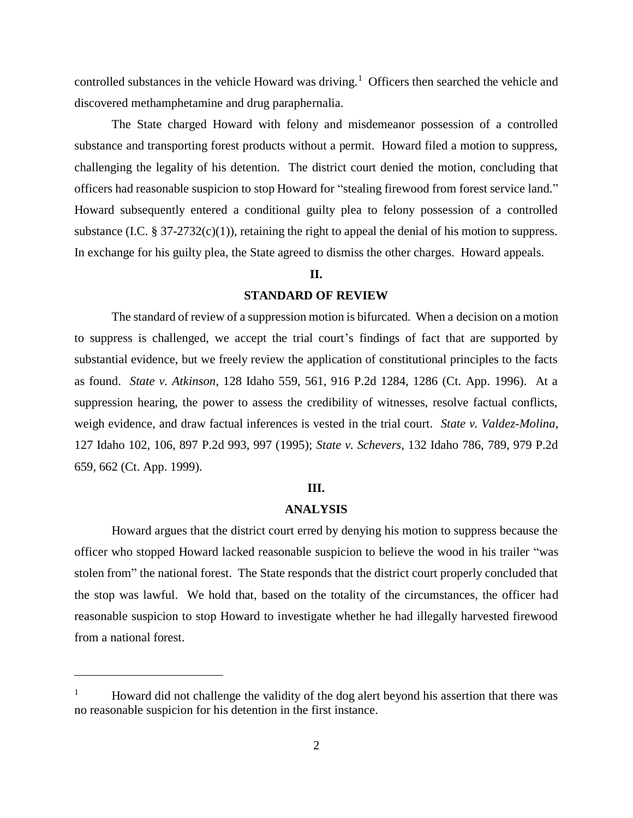controlled substances in the vehicle Howard was driving.<sup>1</sup> Officers then searched the vehicle and discovered methamphetamine and drug paraphernalia.

The State charged Howard with felony and misdemeanor possession of a controlled substance and transporting forest products without a permit. Howard filed a motion to suppress, challenging the legality of his detention. The district court denied the motion, concluding that officers had reasonable suspicion to stop Howard for "stealing firewood from forest service land." Howard subsequently entered a conditional guilty plea to felony possession of a controlled substance (I.C.  $\S 37-2732(c)(1)$ ), retaining the right to appeal the denial of his motion to suppress. In exchange for his guilty plea, the State agreed to dismiss the other charges. Howard appeals.

## **II.**

## **STANDARD OF REVIEW**

The standard of review of a suppression motion is bifurcated. When a decision on a motion to suppress is challenged, we accept the trial court's findings of fact that are supported by substantial evidence, but we freely review the application of constitutional principles to the facts as found. *State v. Atkinson*, 128 Idaho 559, 561, 916 P.2d 1284, 1286 (Ct. App. 1996). At a suppression hearing, the power to assess the credibility of witnesses, resolve factual conflicts, weigh evidence, and draw factual inferences is vested in the trial court. *State v. Valdez-Molina*, 127 Idaho 102, 106, 897 P.2d 993, 997 (1995); *State v. Schevers*, 132 Idaho 786, 789, 979 P.2d 659, 662 (Ct. App. 1999).

#### **III.**

#### **ANALYSIS**

Howard argues that the district court erred by denying his motion to suppress because the officer who stopped Howard lacked reasonable suspicion to believe the wood in his trailer "was stolen from" the national forest. The State responds that the district court properly concluded that the stop was lawful. We hold that, based on the totality of the circumstances, the officer had reasonable suspicion to stop Howard to investigate whether he had illegally harvested firewood from a national forest.

 $\overline{a}$ 

<sup>1</sup> Howard did not challenge the validity of the dog alert beyond his assertion that there was no reasonable suspicion for his detention in the first instance.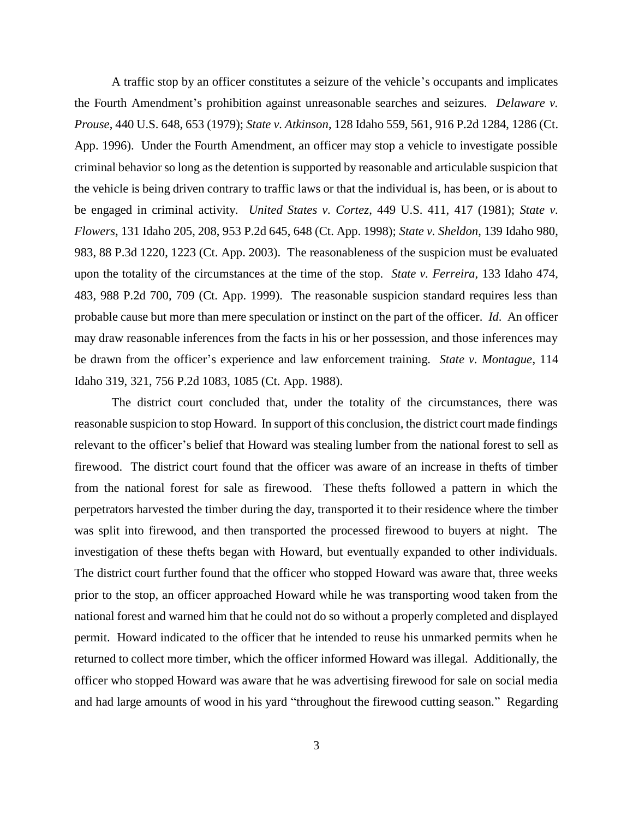A traffic stop by an officer constitutes a seizure of the vehicle's occupants and implicates the Fourth Amendment's prohibition against unreasonable searches and seizures. *Delaware v. Prouse*, 440 U.S. 648, 653 (1979); *State v. Atkinson*, 128 Idaho 559, 561, 916 P.2d 1284, 1286 (Ct. App. 1996). Under the Fourth Amendment, an officer may stop a vehicle to investigate possible criminal behavior so long as the detention is supported by reasonable and articulable suspicion that the vehicle is being driven contrary to traffic laws or that the individual is, has been, or is about to be engaged in criminal activity. *United States v. Cortez*, 449 U.S. 411, 417 (1981); *State v. Flowers*, 131 Idaho 205, 208, 953 P.2d 645, 648 (Ct. App. 1998); *State v. Sheldon*, 139 Idaho 980, 983, 88 P.3d 1220, 1223 (Ct. App. 2003). The reasonableness of the suspicion must be evaluated upon the totality of the circumstances at the time of the stop. *State v. Ferreira*, 133 Idaho 474, 483, 988 P.2d 700, 709 (Ct. App. 1999). The reasonable suspicion standard requires less than probable cause but more than mere speculation or instinct on the part of the officer. *Id*. An officer may draw reasonable inferences from the facts in his or her possession, and those inferences may be drawn from the officer's experience and law enforcement training. *State v. Montague*, 114 Idaho 319, 321, 756 P.2d 1083, 1085 (Ct. App. 1988).

The district court concluded that, under the totality of the circumstances, there was reasonable suspicion to stop Howard. In support of this conclusion, the district court made findings relevant to the officer's belief that Howard was stealing lumber from the national forest to sell as firewood. The district court found that the officer was aware of an increase in thefts of timber from the national forest for sale as firewood. These thefts followed a pattern in which the perpetrators harvested the timber during the day, transported it to their residence where the timber was split into firewood, and then transported the processed firewood to buyers at night. The investigation of these thefts began with Howard, but eventually expanded to other individuals. The district court further found that the officer who stopped Howard was aware that, three weeks prior to the stop, an officer approached Howard while he was transporting wood taken from the national forest and warned him that he could not do so without a properly completed and displayed permit. Howard indicated to the officer that he intended to reuse his unmarked permits when he returned to collect more timber, which the officer informed Howard was illegal. Additionally, the officer who stopped Howard was aware that he was advertising firewood for sale on social media and had large amounts of wood in his yard "throughout the firewood cutting season." Regarding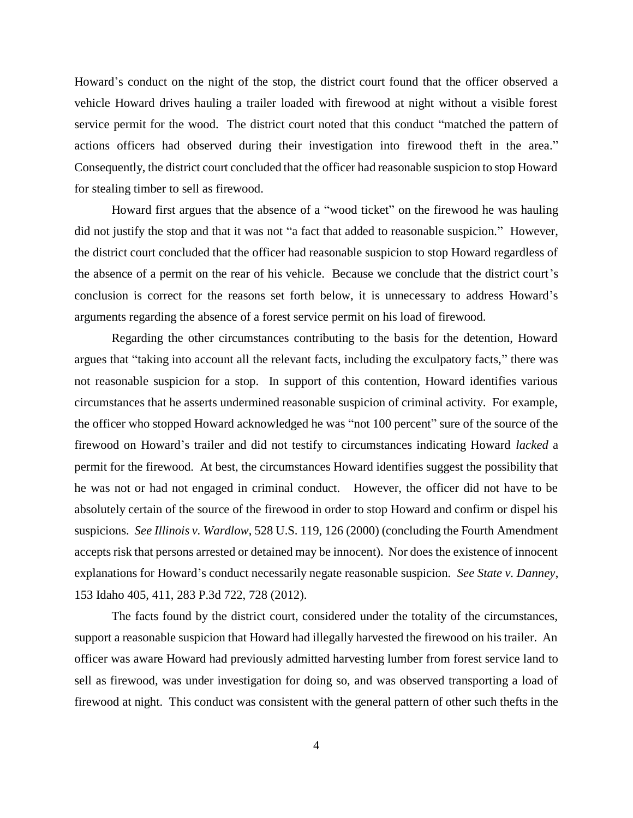Howard's conduct on the night of the stop, the district court found that the officer observed a vehicle Howard drives hauling a trailer loaded with firewood at night without a visible forest service permit for the wood. The district court noted that this conduct "matched the pattern of actions officers had observed during their investigation into firewood theft in the area." Consequently, the district court concluded that the officer had reasonable suspicion to stop Howard for stealing timber to sell as firewood.

Howard first argues that the absence of a "wood ticket" on the firewood he was hauling did not justify the stop and that it was not "a fact that added to reasonable suspicion." However, the district court concluded that the officer had reasonable suspicion to stop Howard regardless of the absence of a permit on the rear of his vehicle. Because we conclude that the district court's conclusion is correct for the reasons set forth below, it is unnecessary to address Howard's arguments regarding the absence of a forest service permit on his load of firewood.

Regarding the other circumstances contributing to the basis for the detention, Howard argues that "taking into account all the relevant facts, including the exculpatory facts," there was not reasonable suspicion for a stop. In support of this contention, Howard identifies various circumstances that he asserts undermined reasonable suspicion of criminal activity. For example, the officer who stopped Howard acknowledged he was "not 100 percent" sure of the source of the firewood on Howard's trailer and did not testify to circumstances indicating Howard *lacked* a permit for the firewood. At best, the circumstances Howard identifies suggest the possibility that he was not or had not engaged in criminal conduct. However, the officer did not have to be absolutely certain of the source of the firewood in order to stop Howard and confirm or dispel his suspicions. *See Illinois v. Wardlow*, 528 U.S. 119, 126 (2000) (concluding the Fourth Amendment accepts risk that persons arrested or detained may be innocent). Nor does the existence of innocent explanations for Howard's conduct necessarily negate reasonable suspicion. *See State v. Danney*, 153 Idaho 405, 411, 283 P.3d 722, 728 (2012).

The facts found by the district court, considered under the totality of the circumstances, support a reasonable suspicion that Howard had illegally harvested the firewood on his trailer. An officer was aware Howard had previously admitted harvesting lumber from forest service land to sell as firewood, was under investigation for doing so, and was observed transporting a load of firewood at night. This conduct was consistent with the general pattern of other such thefts in the